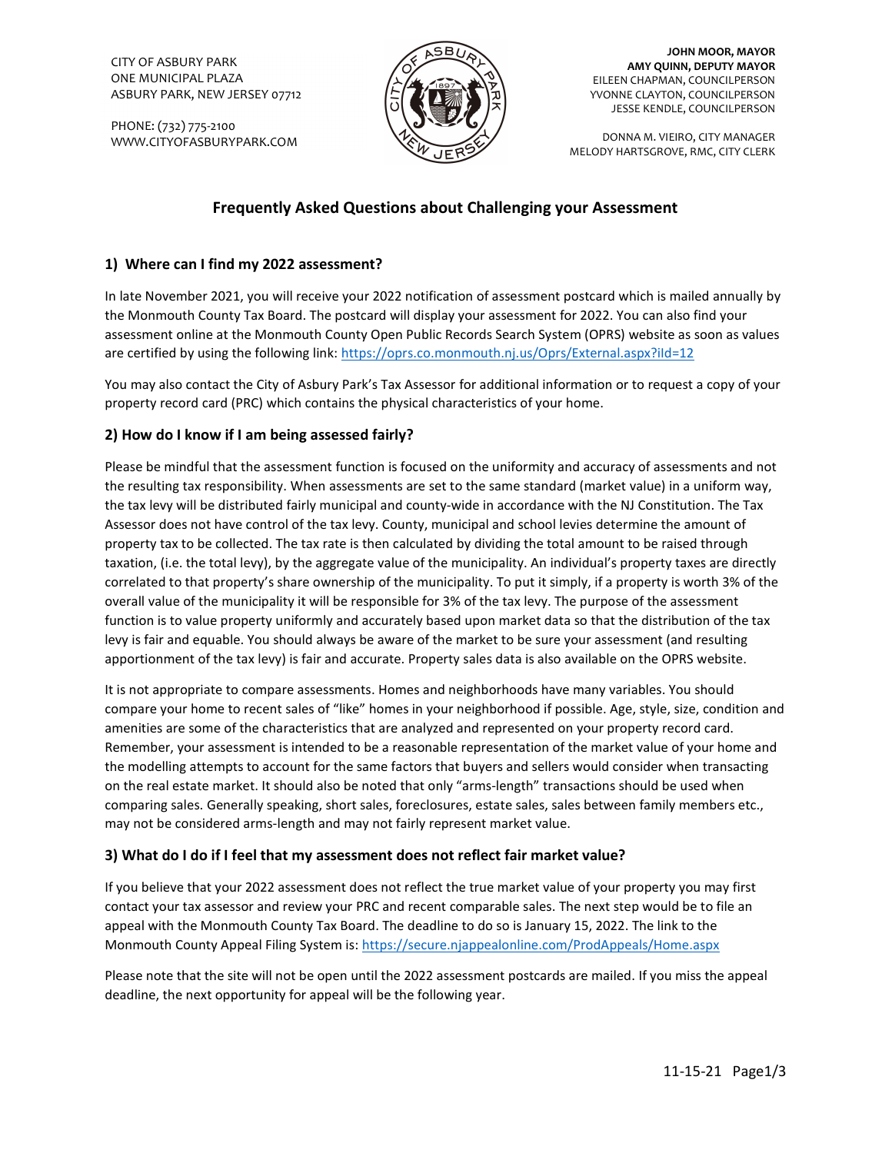CITY OF ASBURY PARK ONE MUNICIPAL PLAZA ASBURY PARK, NEW JERSEY 07712

PHONE: (732) 775-2100 WWW.CITYOFASBURYPARK.COM



JOHN MOOR, MAYOR AMY QUINN, DEPUTY MAYOR EILEEN CHAPMAN, COUNCILPERSON YVONNE CLAYTON, COUNCILPERSON JESSE KENDLE, COUNCILPERSON

DONNA M. VIEIRO, CITY MANAGER MELODY HARTSGROVE, RMC, CITY CLERK

# Frequently Asked Questions about Challenging your Assessment

### 1) Where can I find my 2022 assessment?

In late November 2021, you will receive your 2022 notification of assessment postcard which is mailed annually by the Monmouth County Tax Board. The postcard will display your assessment for 2022. You can also find your assessment online at the Monmouth County Open Public Records Search System (OPRS) website as soon as values are certified by using the following link: https://oprs.co.monmouth.nj.us/Oprs/External.aspx?iId=12

You may also contact the City of Asbury Park's Tax Assessor for additional information or to request a copy of your property record card (PRC) which contains the physical characteristics of your home.

### 2) How do I know if I am being assessed fairly?

Please be mindful that the assessment function is focused on the uniformity and accuracy of assessments and not the resulting tax responsibility. When assessments are set to the same standard (market value) in a uniform way, the tax levy will be distributed fairly municipal and county-wide in accordance with the NJ Constitution. The Tax Assessor does not have control of the tax levy. County, municipal and school levies determine the amount of property tax to be collected. The tax rate is then calculated by dividing the total amount to be raised through taxation, (i.e. the total levy), by the aggregate value of the municipality. An individual's property taxes are directly correlated to that property's share ownership of the municipality. To put it simply, if a property is worth 3% of the overall value of the municipality it will be responsible for 3% of the tax levy. The purpose of the assessment function is to value property uniformly and accurately based upon market data so that the distribution of the tax levy is fair and equable. You should always be aware of the market to be sure your assessment (and resulting apportionment of the tax levy) is fair and accurate. Property sales data is also available on the OPRS website.

It is not appropriate to compare assessments. Homes and neighborhoods have many variables. You should compare your home to recent sales of "like" homes in your neighborhood if possible. Age, style, size, condition and amenities are some of the characteristics that are analyzed and represented on your property record card. Remember, your assessment is intended to be a reasonable representation of the market value of your home and the modelling attempts to account for the same factors that buyers and sellers would consider when transacting on the real estate market. It should also be noted that only "arms-length" transactions should be used when comparing sales. Generally speaking, short sales, foreclosures, estate sales, sales between family members etc., may not be considered arms-length and may not fairly represent market value.

### 3) What do I do if I feel that my assessment does not reflect fair market value?

If you believe that your 2022 assessment does not reflect the true market value of your property you may first contact your tax assessor and review your PRC and recent comparable sales. The next step would be to file an appeal with the Monmouth County Tax Board. The deadline to do so is January 15, 2022. The link to the Monmouth County Appeal Filing System is: https://secure.njappealonline.com/ProdAppeals/Home.aspx

Please note that the site will not be open until the 2022 assessment postcards are mailed. If you miss the appeal deadline, the next opportunity for appeal will be the following year.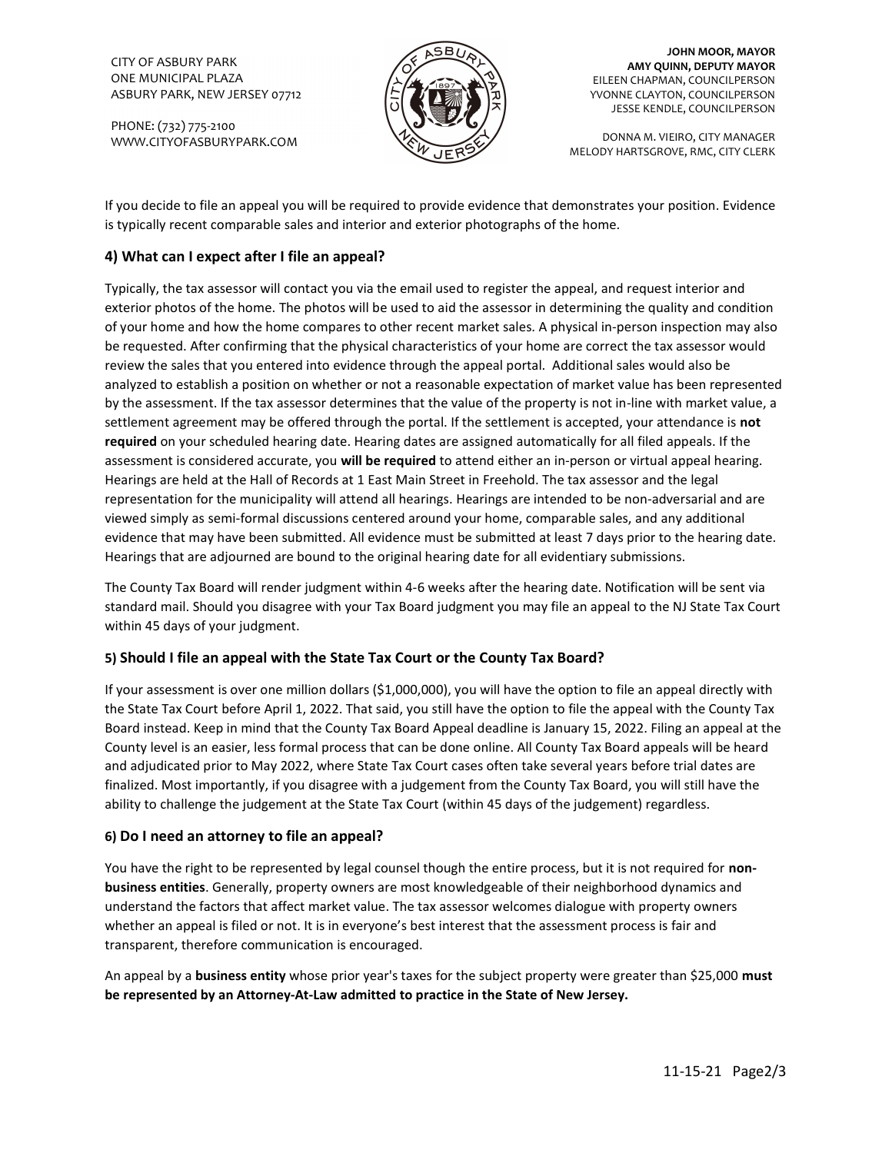CITY OF ASBURY PARK ONE MUNICIPAL PLAZA ASBURY PARK, NEW JERSEY 07712

PHONE: (732) 775-2100 WWW.CITYOFASBURYPARK.COM



JOHN MOOR, MAYOR AMY QUINN, DEPUTY MAYOR EILEEN CHAPMAN, COUNCILPERSON YVONNE CLAYTON, COUNCILPERSON JESSE KENDLE, COUNCILPERSON

DONNA M. VIEIRO, CITY MANAGER MELODY HARTSGROVE, RMC, CITY CLERK

If you decide to file an appeal you will be required to provide evidence that demonstrates your position. Evidence is typically recent comparable sales and interior and exterior photographs of the home.

# 4) What can I expect after I file an appeal?

Typically, the tax assessor will contact you via the email used to register the appeal, and request interior and exterior photos of the home. The photos will be used to aid the assessor in determining the quality and condition of your home and how the home compares to other recent market sales. A physical in-person inspection may also be requested. After confirming that the physical characteristics of your home are correct the tax assessor would review the sales that you entered into evidence through the appeal portal. Additional sales would also be analyzed to establish a position on whether or not a reasonable expectation of market value has been represented by the assessment. If the tax assessor determines that the value of the property is not in-line with market value, a settlement agreement may be offered through the portal. If the settlement is accepted, your attendance is not required on your scheduled hearing date. Hearing dates are assigned automatically for all filed appeals. If the assessment is considered accurate, you will be required to attend either an in-person or virtual appeal hearing. Hearings are held at the Hall of Records at 1 East Main Street in Freehold. The tax assessor and the legal representation for the municipality will attend all hearings. Hearings are intended to be non-adversarial and are viewed simply as semi-formal discussions centered around your home, comparable sales, and any additional evidence that may have been submitted. All evidence must be submitted at least 7 days prior to the hearing date. Hearings that are adjourned are bound to the original hearing date for all evidentiary submissions.

The County Tax Board will render judgment within 4-6 weeks after the hearing date. Notification will be sent via standard mail. Should you disagree with your Tax Board judgment you may file an appeal to the NJ State Tax Court within 45 days of your judgment.

### 5) Should I file an appeal with the State Tax Court or the County Tax Board?

If your assessment is over one million dollars (\$1,000,000), you will have the option to file an appeal directly with the State Tax Court before April 1, 2022. That said, you still have the option to file the appeal with the County Tax Board instead. Keep in mind that the County Tax Board Appeal deadline is January 15, 2022. Filing an appeal at the County level is an easier, less formal process that can be done online. All County Tax Board appeals will be heard and adjudicated prior to May 2022, where State Tax Court cases often take several years before trial dates are finalized. Most importantly, if you disagree with a judgement from the County Tax Board, you will still have the ability to challenge the judgement at the State Tax Court (within 45 days of the judgement) regardless.

### 6) Do I need an attorney to file an appeal?

You have the right to be represented by legal counsel though the entire process, but it is not required for nonbusiness entities. Generally, property owners are most knowledgeable of their neighborhood dynamics and understand the factors that affect market value. The tax assessor welcomes dialogue with property owners whether an appeal is filed or not. It is in everyone's best interest that the assessment process is fair and transparent, therefore communication is encouraged.

An appeal by a business entity whose prior year's taxes for the subject property were greater than \$25,000 must be represented by an Attorney-At-Law admitted to practice in the State of New Jersey.